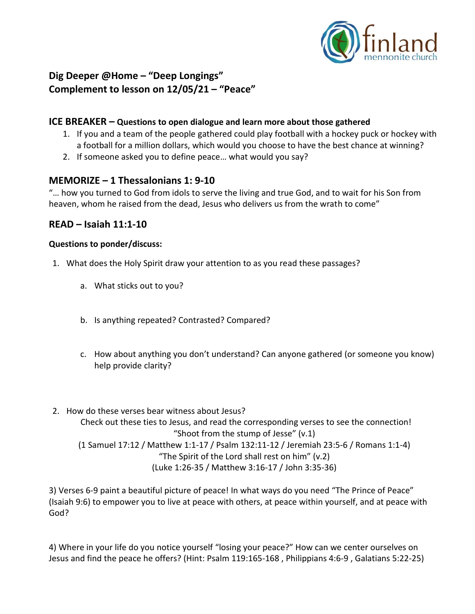

# **Dig Deeper @Home – "Deep Longings" Complement to lesson on 12/05/21 – "Peace"**

### **ICE BREAKER – Questions to open dialogue and learn more about those gathered**

- 1. If you and a team of the people gathered could play football with a hockey puck or hockey with a football for a million dollars, which would you choose to have the best chance at winning?
- 2. If someone asked you to define peace… what would you say?

### **MEMORIZE – 1 Thessalonians 1: 9-10**

"… how you turned to God from idols to serve the living and true God, and to wait for his Son from heaven, whom he raised from the dead, Jesus who delivers us from the wrath to come"

### **READ – Isaiah 11:1-10**

#### **Questions to ponder/discuss:**

- 1. What does the Holy Spirit draw your attention to as you read these passages?
	- a. What sticks out to you?
	- b. Is anything repeated? Contrasted? Compared?
	- c. How about anything you don't understand? Can anyone gathered (or someone you know) help provide clarity?
- 2. How do these verses bear witness about Jesus? Check out these ties to Jesus, and read the corresponding verses to see the connection! "Shoot from the stump of Jesse" (v.1) (1 Samuel 17:12 / Matthew 1:1-17 / Psalm 132:11-12 / Jeremiah 23:5-6 / Romans 1:1-4) "The Spirit of the Lord shall rest on him" (v.2) (Luke 1:26-35 / Matthew 3:16-17 / John 3:35-36)

3) Verses 6-9 paint a beautiful picture of peace! In what ways do you need "The Prince of Peace" (Isaiah 9:6) to empower you to live at peace with others, at peace within yourself, and at peace with God?

4) Where in your life do you notice yourself "losing your peace?" How can we center ourselves on Jesus and find the peace he offers? (Hint: Psalm 119:165-168 , Philippians 4:6-9 , Galatians 5:22-25)